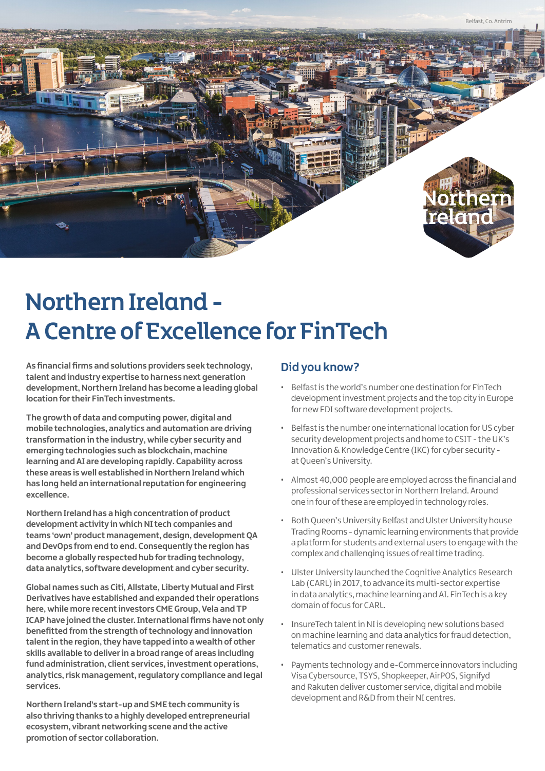

# Northern Ireland - A Centre of Excellence for FinTech

**As financial firms and solutions providers seek technology, talent and industry expertise to harness next generation development, Northern Ireland has become a leading global location for their FinTech investments.** 

**The growth of data and computing power, digital and mobile technologies, analytics and automation are driving transformation in the industry, while cyber security and emerging technologies such as blockchain, machine learning and AI are developing rapidly. Capability across these areas is well established in Northern Ireland which has long held an international reputation for engineering excellence.** 

**Northern Ireland has a high concentration of product development activity in which NI tech companies and teams 'own' product management, design, development QA and DevOps from end to end. Consequently the region has become a globally respected hub for trading technology, data analytics, software development and cyber security.**

**Global names such as Citi, Allstate, Liberty Mutual and First Derivatives have established and expanded their operations here, while more recent investors CME Group, Vela and TP ICAP have joined the cluster. International firms have not only benefitted from the strength of technology and innovation talent in the region, they have tapped into a wealth of other skills available to deliver in a broad range of areas including fund administration, client services, investment operations, analytics, risk management, regulatory compliance and legal services.**

**Northern Ireland's start-up and SME tech community is also thriving thanks to a highly developed entrepreneurial ecosystem, vibrant networking scene and the active promotion of sector collaboration.**

# **Did you know?**

- Belfast is the world's number one destination for FinTech development investment projects and the top city in Europe for new FDI software development projects.
- Belfast is the number one international location for US cyber security development projects and home to CSIT - the UK's Innovation & Knowledge Centre (IKC) for cyber security at Queen's University.
- Almost 40,000 people are employed across the financial and professional services sector in Northern Ireland. Around one in four of these are employed in technology roles.
- Both Queen's University Belfast and Ulster University house Trading Rooms - dynamic learning environments that provide a platform for students and external users to engage with the complex and challenging issues of real time trading.
- Ulster University launched the Cognitive Analytics Research Lab (CARL) in 2017, to advance its multi-sector expertise in data analytics, machine learning and AI. FinTech is a key domain of focus for CARL.
- InsureTech talent in NI is developing new solutions based on machine learning and data analytics for fraud detection, telematics and customer renewals.
- Payments technology and e-Commerce innovators including Visa Cybersource, TSYS, Shopkeeper, AirPOS, Signifyd and Rakuten deliver customer service, digital and mobile development and R&D from their NI centres.